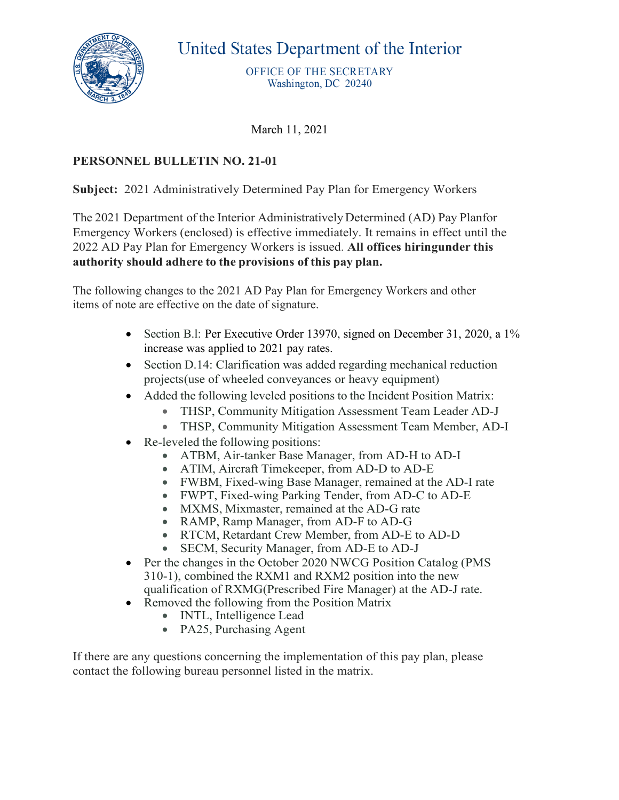

United States Department of the Interior

OFFICE OF THE SECRETARY Washington, DC 20240

March 11, 2021

## **PERSONNEL BULLETIN NO. 21-01**

**Subject:** 2021 Administratively Determined Pay Plan for Emergency Workers

The 2021 Department of the Interior Administratively Determined (AD) Pay Planfor Emergency Workers (enclosed) is effective immediately. It remains in effect until the 2022 AD Pay Plan for Emergency Workers is issued. **All offices hiringunder this authority should adhere to the provisions of this pay plan.**

The following changes to the 2021 AD Pay Plan for Emergency Workers and other items of note are effective on the date of signature.

- Section B.l: Per Executive Order 13970, signed on December 31, 2020, a 1% increase was applied to 2021 pay rates.
- Section D.14: Clarification was added regarding mechanical reduction projects(use of wheeled conveyances or heavy equipment)
- Added the following leveled positions to the Incident Position Matrix:
	- THSP, Community Mitigation Assessment Team Leader AD-J
	- THSP, Community Mitigation Assessment Team Member, AD-I
- Re-leveled the following positions:
	- ATBM, Air-tanker Base Manager, from AD-H to AD-I
	- ATIM, Aircraft Timekeeper, from AD-D to AD-E
	- FWBM, Fixed-wing Base Manager, remained at the AD-I rate
	- FWPT, Fixed-wing Parking Tender, from AD-C to AD-E
	- MXMS, Mixmaster, remained at the AD-G rate
	- RAMP, Ramp Manager, from AD-F to AD-G
	- RTCM, Retardant Crew Member, from AD-E to AD-D
	- SECM, Security Manager, from AD-E to AD-J
- Per the changes in the October 2020 NWCG Position Catalog (PMS) 310-1), combined the RXM1 and RXM2 position into the new qualification of RXMG(Prescribed Fire Manager) at the AD-J rate.
- Removed the following from the Position Matrix
	- INTL, Intelligence Lead
	- PA25, Purchasing Agent

If there are any questions concerning the implementation of this pay plan, please contact the following bureau personnel listed in the matrix.